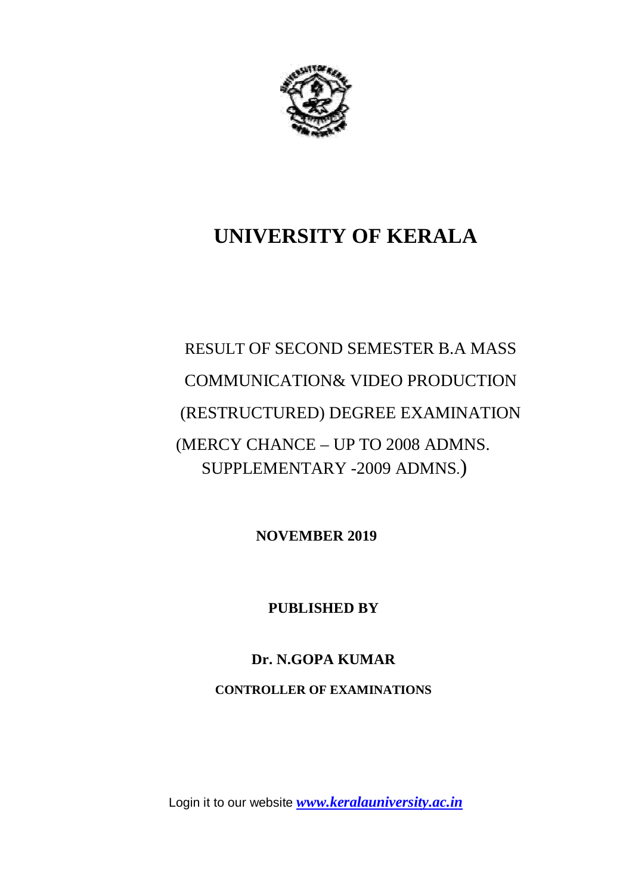

## **UNIVERSITY OF KERALA**

# RESULT OF SECOND SEMESTER B.A MASS COMMUNICATION& VIDEO PRODUCTION (RESTRUCTURED) DEGREE EXAMINATION (MERCY CHANCE – UP TO 2008 ADMNS. SUPPLEMENTARY -2009 ADMNS.)

**NOVEMBER 2019**

**PUBLISHED BY**

## **Dr. N.GOPA KUMAR**

**CONTROLLER OF EXAMINATIONS**

Login it to our website *www.keralauniversity.ac.in*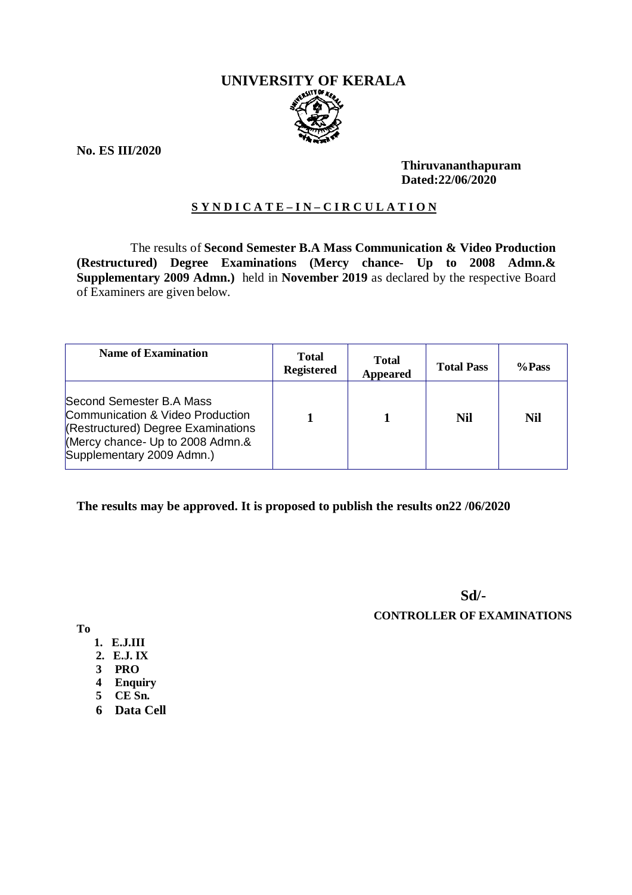# **UNIVERSITY OF KERALA**

**No. ES III/2020**

#### **Thiruvananthapuram Dated:22/06/2020**

#### **S Y N D I C A T E – I N – C I R C U L A T I O N**

 The results of **Second Semester B.A Mass Communication & Video Production (Restructured) Degree Examinations (Mercy chance- Up to 2008 Admn.& Supplementary 2009 Admn.)** held in **November 2019** as declared by the respective Board of Examiners are given below.

| <b>Name of Examination</b>                                                                                                                                          | <b>Total</b><br><b>Registered</b> | <b>Total</b><br><b>Appeared</b> | <b>Total Pass</b> | %Pass      |
|---------------------------------------------------------------------------------------------------------------------------------------------------------------------|-----------------------------------|---------------------------------|-------------------|------------|
| Second Semester B.A Mass<br>Communication & Video Production<br>(Restructured) Degree Examinations<br>(Mercy chance- Up to 2008 Admn.&<br>Supplementary 2009 Admn.) |                                   |                                 | Nil               | <b>Nil</b> |

#### **The results may be approved. It is proposed to publish the results on22 /06/2020**

**Sd/- CONTROLLER OF EXAMINATIONS**

**To**

- **1. E.J.III**
- **2. E.J. IX**
- **3 PRO**
- **4 Enquiry**
- **5 CE Sn.**
- **6 Data Cell**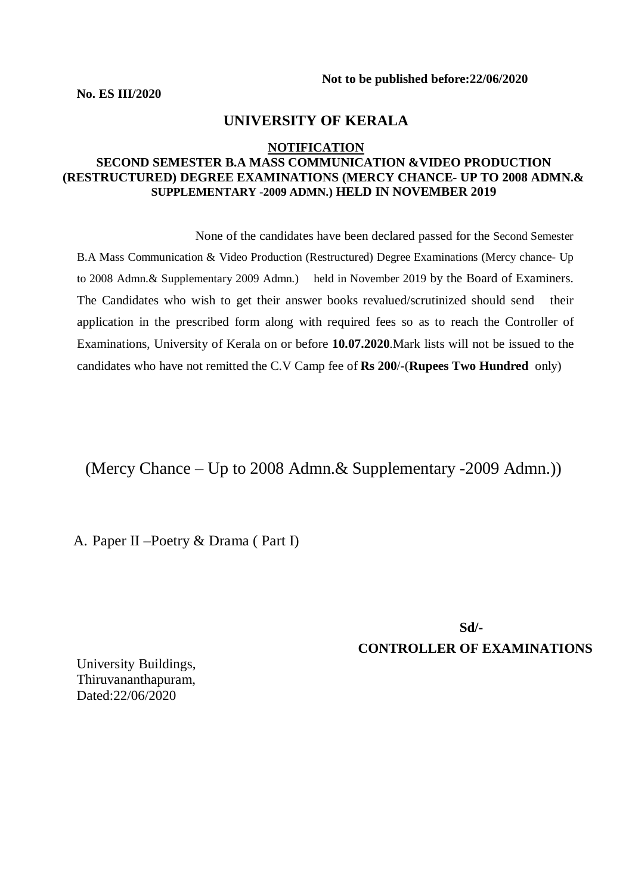**No. ES III/2020**

#### **UNIVERSITY OF KERALA**

#### **NOTIFICATION**

#### **SECOND SEMESTER B.A MASS COMMUNICATION &VIDEO PRODUCTION (RESTRUCTURED) DEGREE EXAMINATIONS (MERCY CHANCE- UP TO 2008 ADMN.& SUPPLEMENTARY -2009 ADMN.) HELD IN NOVEMBER 2019**

 None of the candidates have been declared passed for the Second Semester B.A Mass Communication & Video Production (Restructured) Degree Examinations (Mercy chance- Up to 2008 Admn.& Supplementary 2009 Admn.) held in November 2019 by the Board of Examiners. The Candidates who wish to get their answer books revalued/scrutinized should send their application in the prescribed form along with required fees so as to reach the Controller of Examinations, University of Kerala on or before **10.07.2020**.Mark lists will not be issued to the candidates who have not remitted the C.V Camp fee of **Rs 200**/-(**Rupees Two Hundred** only)

(Mercy Chance – Up to 2008 Admn.& Supplementary -2009 Admn.))

A. Paper II –Poetry & Drama ( Part I)

**Sd/-CONTROLLER OF EXAMINATIONS**

University Buildings, Thiruvananthapuram, Dated:22/06/2020